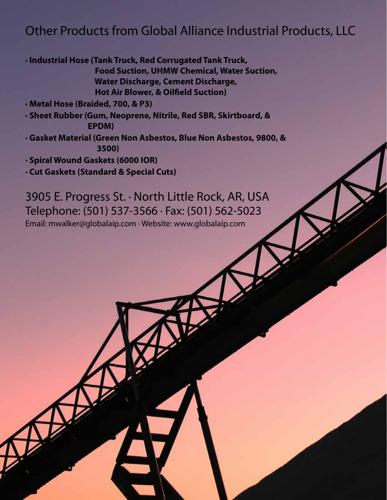### Other Products from Global Alliance Industrial Products, LLC

**· Industrial Hose (Tank Truck, Red Corrugated Tank Truck, Food Suction, UHMW Chemical, Water Suction, Water Discharge, Cement Discharge, Hot Air Blower, & Oilfield Suction)**

**· Metal Hose (Braided, 700, & P3)**

**· Sheet Rubber (Gum, Neoprene, Nitrile, Red SBR, Skirtboard, & EPDM)**

**· Gasket Material (Green Non Asbestos, Blue Non Asbestos, 9800, & 3500)**

**· Spiral Wound Gaskets (6000 IOR)**

**· Cut Gaskets (Standard & Special Cuts)**

3905 E. Progress St. · North Little Rock, AR, USA Telephone: (501) 537-3566 · Fax: (501) 562-5023 Email: mwalker@globalaip.com · Website: www.globalaip.com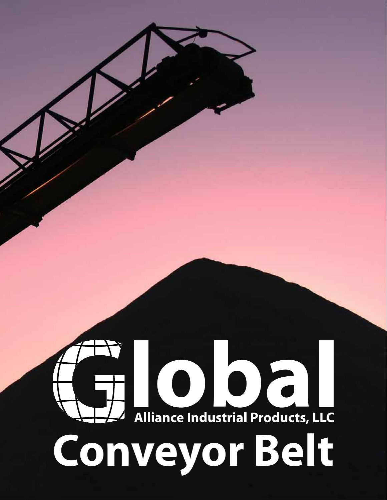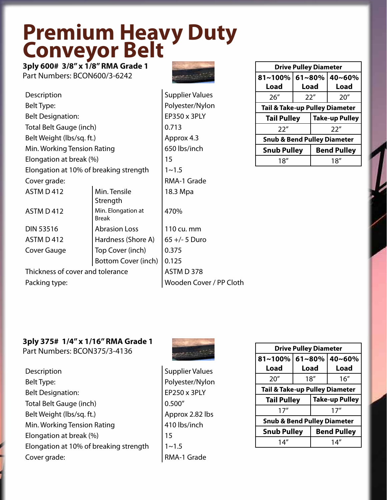## **Premium Heavy Duty Conveyor Belt**

**3ply 600# 3/8" x 1/8" RMA Grade 1**  Part Numbers: BCON600/3-6242



**Supplier Values** 

| Description                            |                             |                   |
|----------------------------------------|-----------------------------|-------------------|
| Belt Type:                             |                             |                   |
| <b>Belt Designation:</b>               |                             | EP350             |
| Total Belt Gauge (inch)                |                             | 0.713             |
| Belt Weight (lbs/sq. ft.)              |                             | Appro             |
| Min. Working Tension Rating            |                             | 650 lk            |
| Elongation at break (%)                |                             | 15                |
| Elongation at 10% of breaking strength |                             |                   |
| Cover grade:                           |                             | RMA-              |
| ASTM D 412                             | Min. Tensile<br>Strength    | 18.3 <sub>h</sub> |
| ASTM D 412                             | Min. Elongation at<br>Break | 470%              |
| <b>DIN 53516</b>                       | <b>Abrasion Loss</b>        | 110 C             |
| ASTM D412                              | Hardness (Shore A)          | $65 +/-$          |
| Cover Gauge                            | Top Cover (inch)            | 0.375             |
|                                        | Bottom Cover (inch)         | 0.125             |
| Thickness of cover and tolerance       |                             | ASTM              |

Polyester/Nylon  $E$ P350 x 3PLY Approx 4.3 650 lbs/inch RMA-1 Grade 18.3 Mpa 470% 110 cu. mm  $65 +/- 5$  Duro  $0.125$ ASTM D 378 Packing type: Wooden Cover / PP Cloth

| <b>Drive Pulley Diameter</b>                |            |  |                    |
|---------------------------------------------|------------|--|--------------------|
| 81~100%                                     | $61 - 80%$ |  | 40~60%             |
| Load                                        | Load       |  | Load               |
| 26''                                        | 22"        |  | 20''               |
| <b>Tail &amp; Take-up Pulley Diameter</b>   |            |  |                    |
| <b>Take-up Pulley</b><br><b>Tail Pulley</b> |            |  |                    |
| 22''                                        |            |  | 22''               |
| <b>Snub &amp; Bend Pulley Diameter</b>      |            |  |                    |
| <b>Snub Pulley</b>                          |            |  | <b>Bend Pulley</b> |
| 18''                                        |            |  | 18″                |

#### **3ply 375# 1/4" x 1/16" RMA Grade 1**

Part Numbers: BCON375/3-4136

Description Supplier Values Belt Type: Polyester/Nylon Belt Designation: EP250 x 3PLY Total Belt Gauge (inch)  $\Big| 0.500''$ Belt Weight (lbs/sq. ft.) Approx 2.82 lbs Min. Working Tension Rating **410** les/inch Elongation at break (%) 15 Elongation at 10% of breaking strength  $1~1~-1.5$ Cover grade:  $\vert$  RMA-1 Grade



| <b>Drive Pulley Diameter</b>                |                                          |                        |      |
|---------------------------------------------|------------------------------------------|------------------------|------|
| 81~100%                                     |                                          | $ 61 - 80\%$<br>40~60% |      |
| Load                                        | Load                                     |                        | Load |
| 20''                                        | 18''                                     |                        | 16'' |
| <b>Tail &amp; Take-up Pulley Diameter</b>   |                                          |                        |      |
| <b>Take-up Pulley</b><br><b>Tail Pulley</b> |                                          |                        |      |
| 17''                                        |                                          |                        | 17'' |
| <b>Snub &amp; Bend Pulley Diameter</b>      |                                          |                        |      |
|                                             | <b>Snub Pulley</b><br><b>Bend Pulley</b> |                        |      |
| 14″                                         |                                          |                        | 14″  |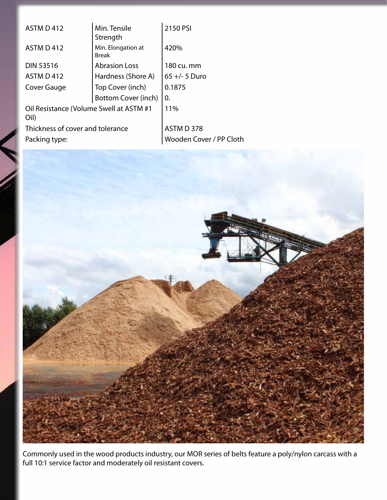| <b>ASTM D 412</b>                               | Min. Tensile<br>Strength           | 2150 PSI                |
|-------------------------------------------------|------------------------------------|-------------------------|
| ASTM D 412                                      | Min. Elongation at<br><b>Break</b> | 420%                    |
| <b>DIN 53516</b>                                | <b>Abrasion Loss</b>               | 180 cu. mm              |
| ASTM D412                                       | Hardness (Shore A)                 | $65 +/- 5$ Duro         |
| Cover Gauge                                     | Top Cover (inch)                   | 0.1875                  |
|                                                 | Bottom Cover (inch)                | 0.                      |
| Oil Resistance (Volume Swell at ASTM #1<br>Oil) | 11%                                |                         |
| Thickness of cover and tolerance                | ASTM D 378                         |                         |
| Packing type:                                   |                                    | Wooden Cover / PP Cloth |
|                                                 |                                    |                         |



Commonly used in the wood products industry, our MOR series of belts feature a poly/nylon carcass with a full 10:1 service factor and moderately oil resistant covers.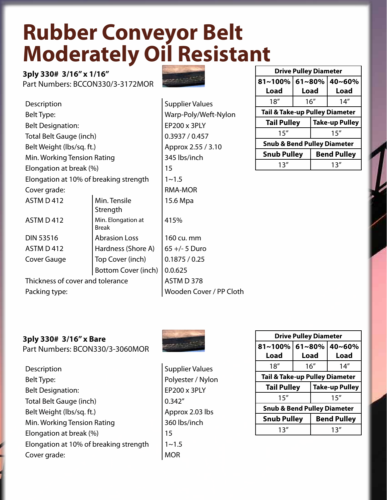## **Rubber Conveyor Belt Moderately Oil Resistant**

**3ply 330# 3/16" x 1/16"**  Part Numbers: BCCON330/3-3172MOR



| Description                            | Supplier V                         |            |
|----------------------------------------|------------------------------------|------------|
| Belt Type:                             | <b>Warp-Poly</b>                   |            |
| <b>Belt Designation:</b>               |                                    | EP200 x 3F |
| Total Belt Gauge (inch)                |                                    | 0.3937/0.  |
| Belt Weight (lbs/sq. ft.)              |                                    | Approx 2.5 |
| Min. Working Tension Rating            |                                    | 345 lbs/in |
| Elongation at break (%)                |                                    | 15         |
| Elongation at 10% of breaking strength | $1 - 1.5$                          |            |
| Cover grade:                           | <b>RMA-MOR</b>                     |            |
| ASTM D 412                             | Min. Tensile<br>Strength           | 15.6 Mpa   |
| ASTM D 412                             | Min. Elongation at<br><b>Break</b> | 415%       |
| DIN 53516                              | <b>Abrasion Loss</b>               | 160 cu. mr |
| ASTM D 412                             | $65 +/- 5$ D                       |            |
| Top Cover (inch)<br>Cover Gauge        |                                    | 0.1875/0.  |
|                                        | Bottom Cover (inch)                | 0.0.625    |
| Thickness of cover and tolerance       | ASTM D37                           |            |
|                                        |                                    |            |

plier Values p-Poly/Weft-Nylon  $00 \times 3$ PLY  $37/0.457$  $r$ ox 2.55 / 3.10 lbs/inch Mpa  $\%$ cu. mm -/- 5 Duro  $375 / 0.25$  $M$ D 378 Packing type: Wooden Cover / PP Cloth

| <b>Drive Pulley Diameter</b>                |             |      |             |
|---------------------------------------------|-------------|------|-------------|
| 81~100%                                     | $61 - 80\%$ |      | 40~60%      |
| Load                                        | Load        |      | <b>Load</b> |
| 18''                                        | 16''        |      | 14''        |
| <b>Tail &amp; Take-up Pulley Diameter</b>   |             |      |             |
| <b>Take-up Pulley</b><br><b>Tail Pulley</b> |             |      |             |
| 15''                                        |             | 15'' |             |
| <b>Snub &amp; Bend Pulley Diameter</b>      |             |      |             |
| <b>Snub Pulley</b><br><b>Bend Pulley</b>    |             |      |             |
| 13″                                         |             |      | 13″         |

#### **3ply 330# 3/16" x Bare**

Part Numbers: BCON330/3-3060MOR

Description Supplier Values Belt Type: Polyester / Nylon Belt Designation: EP200 x 3PLY Total Belt Gauge (inch)  $\Big| 0.342''$ Belt Weight (lbs/sq. ft.) Approx 2.03 lbs Min. Working Tension Rating **1988** | 360 lbs/inch Elongation at break (%) 15 Elongation at 10% of breaking strength  $1~-1.5$ Cover grade:  $\vert$  MOR



| <b>Drive Pulley Diameter</b>                |        |                    |        |  |
|---------------------------------------------|--------|--------------------|--------|--|
| 81~100%                                     | 61~80% |                    | 40~60% |  |
| Load                                        | Load   |                    | Load   |  |
| 18''                                        | 16''   |                    | 14''   |  |
| <b>Tail &amp; Take-up Pulley Diameter</b>   |        |                    |        |  |
| <b>Take-up Pulley</b><br><b>Tail Pulley</b> |        |                    |        |  |
| 15''                                        |        |                    | 15''   |  |
| <b>Snub &amp; Bend Pulley Diameter</b>      |        |                    |        |  |
| <b>Snub Pulley</b>                          |        | <b>Bend Pulley</b> |        |  |
| 13''                                        |        |                    | 13''   |  |
|                                             |        |                    |        |  |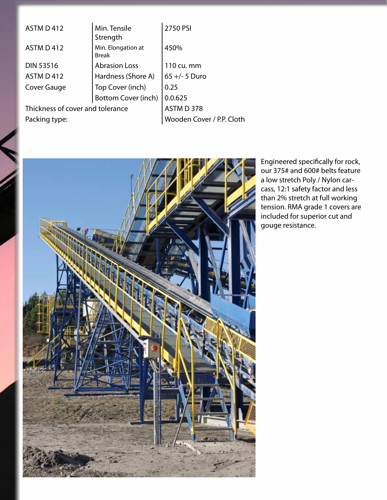| ASTM D 412                       | Min. Tensile<br>Strength           | 2750 PSI                  |
|----------------------------------|------------------------------------|---------------------------|
| <b>ASTM D 412</b>                | Min. Elongation at<br><b>Break</b> | 450%                      |
| <b>DIN 53516</b>                 | <b>Abrasion Loss</b>               | 110 cu. mm                |
| ASTM D 412                       | Hardness (Shore A)                 | $65 +/- 5$ Duro           |
| Cover Gauge                      | Top Cover (inch)                   | 0.25                      |
|                                  | <b>Bottom Cover (inch)</b>         | 0.0.625                   |
| Thickness of cover and tolerance |                                    | ASTM D 378                |
| Packing type:                    |                                    | Wooden Cover / P.P. Cloth |



Engineered specifically for rock, our 375# and 600# belts feature a low stretch Poly / Nylon carcass, 12:1 safety factor and less than 2% stretch at full working tension. RMA grade 1 covers are included for superior cut and gouge resistance.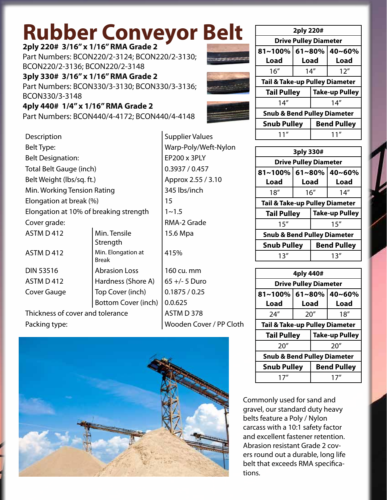# **Rubber Conveyor Belt**

#### **2ply 220# 3/16" x 1/16" RMA Grade 2**

Part Numbers: BCON220/2-3124; BCON220/2-3130; BCON220/2-3136; BCON220/2-3148

**3ply 330# 3/16" x 1/16" RMA Grade 2** 

Part Numbers: BCON330/3-3130; BCON330/3-3136; BCON330/3-3148

#### **4ply 440# 1/4" x 1/16" RMA Grade 2**

Part Numbers: BCON440/4-4172; BCON440/4-4148

| Description                              |                                    | Supplier Valu |
|------------------------------------------|------------------------------------|---------------|
| Belt Type:                               | Warp-Poly/W                        |               |
| <b>Belt Designation:</b>                 |                                    | EP200 x 3PLY  |
| Total Belt Gauge (inch)                  |                                    | 0.3937 / 0.45 |
| Belt Weight (lbs/sq. ft.)                |                                    | Approx 2.55   |
| Min. Working Tension Rating              |                                    | 345 lbs/inch  |
| Elongation at break (%)                  |                                    | 15            |
| Elongation at 10% of breaking strength   |                                    | $1 - 1.5$     |
| Cover grade:                             |                                    | RMA-2 Grade   |
| ASTM D 412                               | Min. Tensile<br>Strength           | 15.6 Mpa      |
| ASTM D412                                | Min. Elongation at<br><b>Break</b> | 415%          |
| <b>DIN 53516</b><br><b>Abrasion Loss</b> |                                    | 160 cu. mm    |
| ASTM D 412<br>Hardness (Shore A)         |                                    | 65 +/- 5 Duro |
| Cover Gauge                              | Top Cover (inch)                   | 0.1875 / 0.25 |

Thickness of cover and tolerance  $\overline{A}$  ASTM D 378 Packing type: Wooden Cover / PP Cloth

Warp-Poly/Weft-Nylon  $E$ P200 x 3PLY  $0.3937 / 0.457$ Approx 2.55 / 3.10 345 lbs/inch RMA-2 Grade 15.6 Mpa 415% 160 cu. mm  $65 +/- 5$  Duro

Supplier Values

Bottom Cover (inch)  $\vert 0.0.625 \vert$ 



| 2ply 220#                                 |                              |  |                       |  |
|-------------------------------------------|------------------------------|--|-----------------------|--|
|                                           | <b>Drive Pulley Diameter</b> |  |                       |  |
| 81~100%                                   | $61 - 80%$                   |  | 40~60%                |  |
| Load                                      | Load                         |  | Load                  |  |
| 16''                                      | 14''                         |  | 12''                  |  |
| <b>Tail &amp; Take-up Pulley Diameter</b> |                              |  |                       |  |
| <b>Tail Pulley</b>                        |                              |  | <b>Take-up Pulley</b> |  |
| 14''                                      |                              |  | 14''                  |  |
| <b>Snub &amp; Bend Pulley Diameter</b>    |                              |  |                       |  |
| <b>Snub Pulley</b>                        |                              |  | <b>Bend Pulley</b>    |  |
| 11″                                       |                              |  | 11″                   |  |

| 3ply 330#                                   |      |                      |      |  |
|---------------------------------------------|------|----------------------|------|--|
| <b>Drive Pulley Diameter</b>                |      |                      |      |  |
| 81~100%                                     |      | $61 - 80%$<br>40~60% |      |  |
| Load                                        | Load |                      | Load |  |
| 18''                                        | 16'' |                      | 14'' |  |
| <b>Tail &amp; Take-up Pulley Diameter</b>   |      |                      |      |  |
| <b>Take-up Pulley</b><br><b>Tail Pulley</b> |      |                      |      |  |
| 15''                                        |      |                      | 15'' |  |
| <b>Snub &amp; Bend Pulley Diameter</b>      |      |                      |      |  |
| <b>Snub Pulley</b><br><b>Bend Pulley</b>    |      |                      |      |  |
| 13″                                         |      |                      | 13″  |  |

| 4ply 440#                                   |      |                        |      |  |
|---------------------------------------------|------|------------------------|------|--|
| <b>Drive Pulley Diameter</b>                |      |                        |      |  |
| 81~100%                                     |      | $ 61 - 80\%$<br>40~60% |      |  |
| Load                                        | Load |                        | Load |  |
| 24''                                        | 20'' |                        | 18'' |  |
| <b>Tail &amp; Take-up Pulley Diameter</b>   |      |                        |      |  |
| <b>Take-up Pulley</b><br><b>Tail Pulley</b> |      |                        |      |  |
| 20''                                        |      |                        | 20'' |  |
| <b>Snub &amp; Bend Pulley Diameter</b>      |      |                        |      |  |
| <b>Snub Pulley</b><br><b>Bend Pulley</b>    |      |                        |      |  |
| 17″<br>17″                                  |      |                        |      |  |

Commonly used for sand and gravel, our standard duty heavy belts feature a Poly / Nylon carcass with a 10:1 safety factor and excellent fastener retention. Abrasion resistant Grade 2 covers round out a durable, long life belt that exceeds RMA specifications.